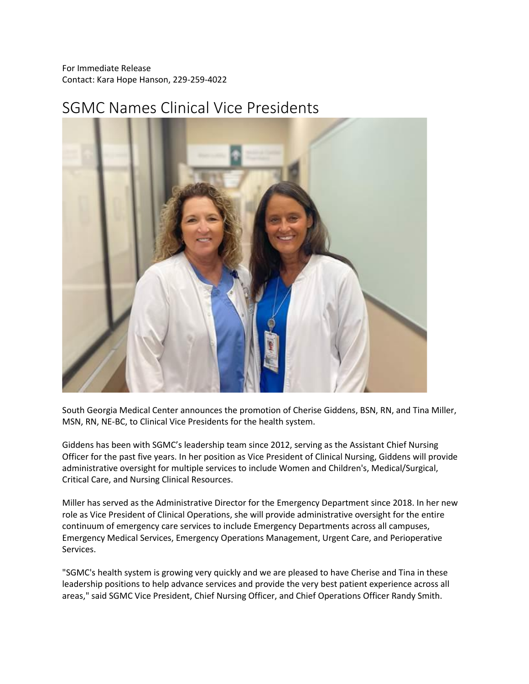For Immediate Release Contact: Kara Hope Hanson, 229-259-4022

## SGMC Names Clinical Vice Presidents



South Georgia Medical Center announces the promotion of Cherise Giddens, BSN, RN, and Tina Miller, MSN, RN, NE-BC, to Clinical Vice Presidents for the health system.

Giddens has been with SGMC's leadership team since 2012, serving as the Assistant Chief Nursing Officer for the past five years. In her position as Vice President of Clinical Nursing, Giddens will provide administrative oversight for multiple services to include Women and Children's, Medical/Surgical, Critical Care, and Nursing Clinical Resources.

Miller has served as the Administrative Director for the Emergency Department since 2018. In her new role as Vice President of Clinical Operations, she will provide administrative oversight for the entire continuum of emergency care services to include Emergency Departments across all campuses, Emergency Medical Services, Emergency Operations Management, Urgent Care, and Perioperative Services.

"SGMC's health system is growing very quickly and we are pleased to have Cherise and Tina in these leadership positions to help advance services and provide the very best patient experience across all areas," said SGMC Vice President, Chief Nursing Officer, and Chief Operations Officer Randy Smith.